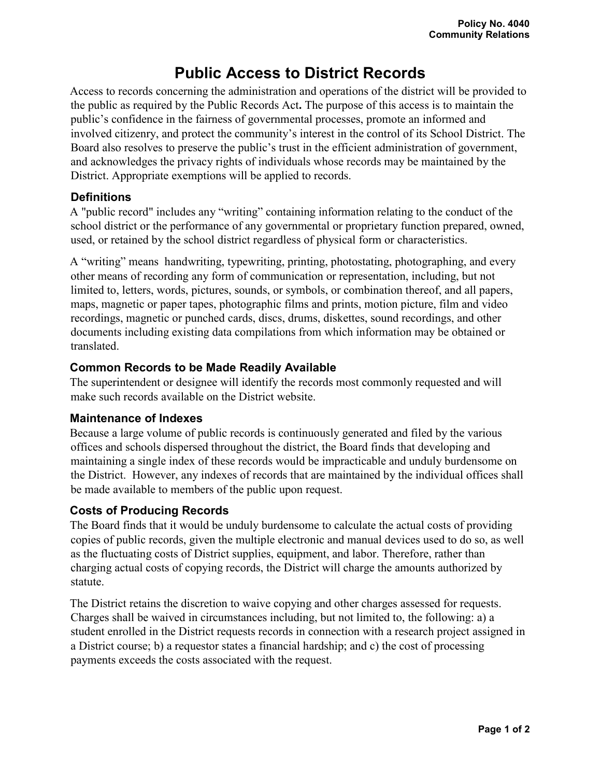# **Public Access to District Records**

Access to records concerning the administration and operations of the district will be provided to the public as required by the Public Records Act**.** The purpose of this access is to maintain the public's confidence in the fairness of governmental processes, promote an informed and involved citizenry, and protect the community's interest in the control of its School District. The Board also resolves to preserve the public's trust in the efficient administration of government, and acknowledges the privacy rights of individuals whose records may be maintained by the District. Appropriate exemptions will be applied to records.

#### **Definitions**

A "public record" includes any "writing" containing information relating to the conduct of the school district or the performance of any governmental or proprietary function prepared, owned, used, or retained by the school district regardless of physical form or characteristics.

A "writing" means handwriting, typewriting, printing, photostating, photographing, and every other means of recording any form of communication or representation, including, but not limited to, letters, words, pictures, sounds, or symbols, or combination thereof, and all papers, maps, magnetic or paper tapes, photographic films and prints, motion picture, film and video recordings, magnetic or punched cards, discs, drums, diskettes, sound recordings, and other documents including existing data compilations from which information may be obtained or translated.

## **Common Records to be Made Readily Available**

The superintendent or designee will identify the records most commonly requested and will make such records available on the District website.

### **Maintenance of Indexes**

Because a large volume of public records is continuously generated and filed by the various offices and schools dispersed throughout the district, the Board finds that developing and maintaining a single index of these records would be impracticable and unduly burdensome on the District. However, any indexes of records that are maintained by the individual offices shall be made available to members of the public upon request.

### **Costs of Producing Records**

The Board finds that it would be unduly burdensome to calculate the actual costs of providing copies of public records, given the multiple electronic and manual devices used to do so, as well as the fluctuating costs of District supplies, equipment, and labor. Therefore, rather than charging actual costs of copying records, the District will charge the amounts authorized by statute.

The District retains the discretion to waive copying and other charges assessed for requests. Charges shall be waived in circumstances including, but not limited to, the following: a) a student enrolled in the District requests records in connection with a research project assigned in a District course; b) a requestor states a financial hardship; and c) the cost of processing payments exceeds the costs associated with the request.